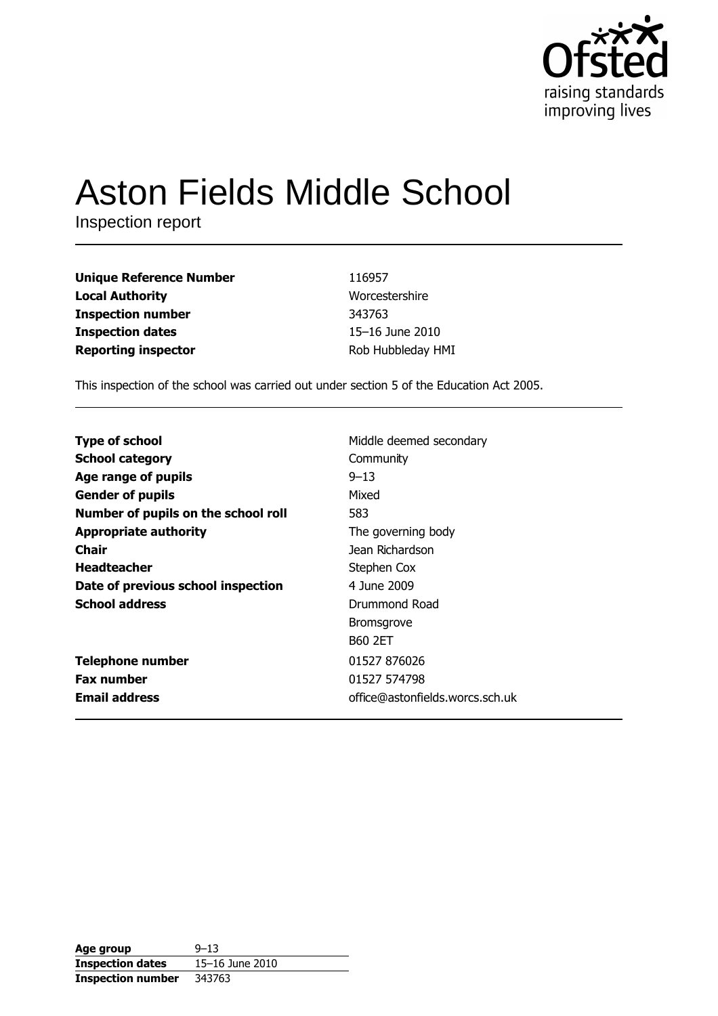

# **Aston Fields Middle School**

Inspection report

| <b>Unique Reference Number</b> | 116957            |
|--------------------------------|-------------------|
| <b>Local Authority</b>         | Worcestershire    |
| <b>Inspection number</b>       | 343763            |
| <b>Inspection dates</b>        | 15-16 June 2010   |
| <b>Reporting inspector</b>     | Rob Hubbleday HMI |

This inspection of the school was carried out under section 5 of the Education Act 2005.

| <b>Type of school</b>               | Middle deemed secondary         |
|-------------------------------------|---------------------------------|
| <b>School category</b>              | Community                       |
| Age range of pupils                 | $9 - 13$                        |
| <b>Gender of pupils</b>             | Mixed                           |
| Number of pupils on the school roll | 583                             |
| <b>Appropriate authority</b>        | The governing body              |
| <b>Chair</b>                        | Jean Richardson                 |
| <b>Headteacher</b>                  | Stephen Cox                     |
| Date of previous school inspection  | 4 June 2009                     |
| <b>School address</b>               | Drummond Road                   |
|                                     | <b>Bromsgrove</b>               |
|                                     | <b>B60 2ET</b>                  |
| <b>Telephone number</b>             | 01527 876026                    |
| <b>Fax number</b>                   | 01527 574798                    |
| <b>Email address</b>                | office@astonfields.worcs.sch.uk |

| Age group                | $9 - 13$        |
|--------------------------|-----------------|
| <b>Inspection dates</b>  | 15–16 June 2010 |
| <b>Inspection number</b> | 343763          |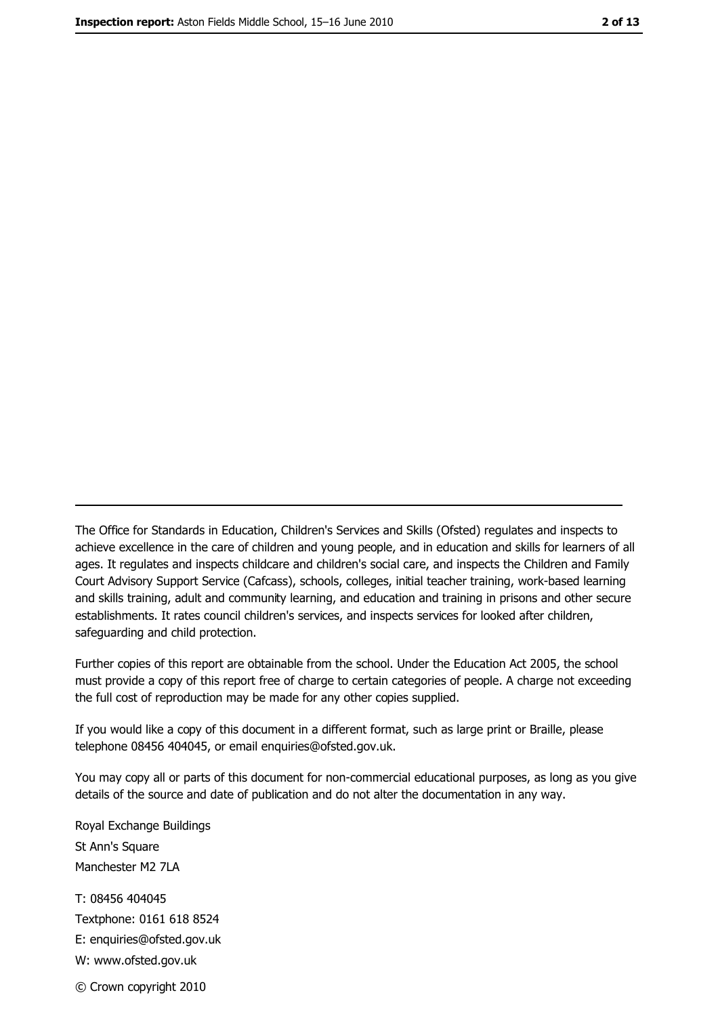The Office for Standards in Education, Children's Services and Skills (Ofsted) regulates and inspects to achieve excellence in the care of children and young people, and in education and skills for learners of all ages. It regulates and inspects childcare and children's social care, and inspects the Children and Family Court Advisory Support Service (Cafcass), schools, colleges, initial teacher training, work-based learning and skills training, adult and community learning, and education and training in prisons and other secure establishments. It rates council children's services, and inspects services for looked after children, safequarding and child protection.

Further copies of this report are obtainable from the school. Under the Education Act 2005, the school must provide a copy of this report free of charge to certain categories of people. A charge not exceeding the full cost of reproduction may be made for any other copies supplied.

If you would like a copy of this document in a different format, such as large print or Braille, please telephone 08456 404045, or email enquiries@ofsted.gov.uk.

You may copy all or parts of this document for non-commercial educational purposes, as long as you give details of the source and date of publication and do not alter the documentation in any way.

Royal Exchange Buildings St Ann's Square Manchester M2 7LA T: 08456 404045 Textphone: 0161 618 8524 E: enquiries@ofsted.gov.uk W: www.ofsted.gov.uk © Crown copyright 2010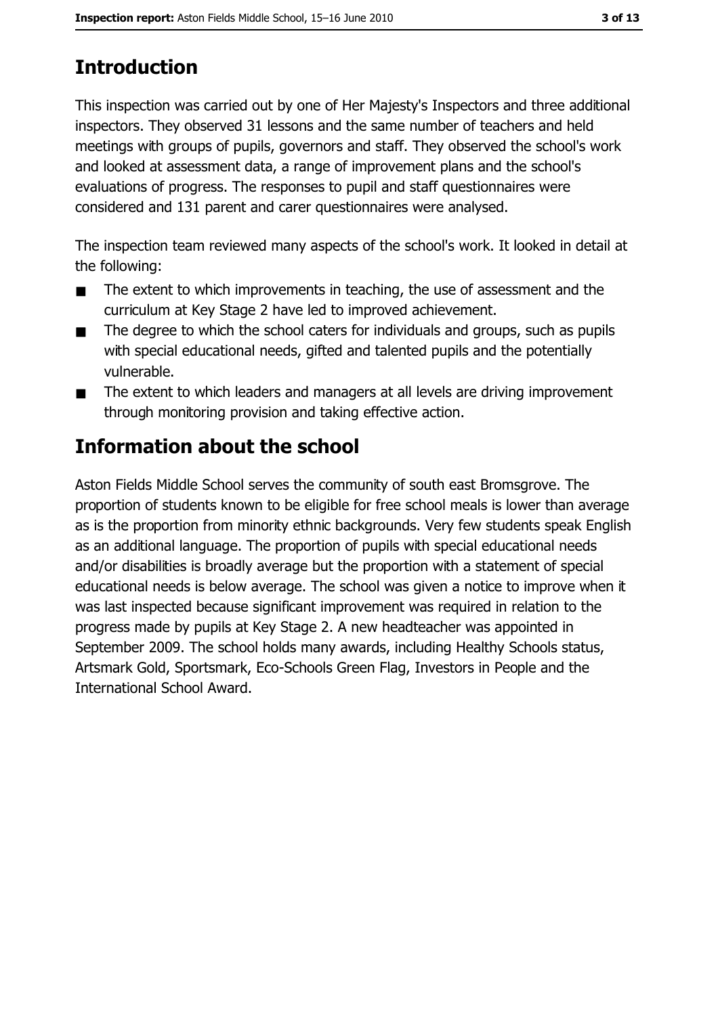# **Introduction**

This inspection was carried out by one of Her Majesty's Inspectors and three additional inspectors. They observed 31 lessons and the same number of teachers and held meetings with groups of pupils, governors and staff. They observed the school's work and looked at assessment data, a range of improvement plans and the school's evaluations of progress. The responses to pupil and staff questionnaires were considered and 131 parent and carer questionnaires were analysed.

The inspection team reviewed many aspects of the school's work. It looked in detail at the following:

- The extent to which improvements in teaching, the use of assessment and the  $\blacksquare$ curriculum at Key Stage 2 have led to improved achievement.
- The degree to which the school caters for individuals and groups, such as pupils  $\blacksquare$ with special educational needs, gifted and talented pupils and the potentially vulnerable.
- The extent to which leaders and managers at all levels are driving improvement  $\blacksquare$ through monitoring provision and taking effective action.

# Information about the school

Aston Fields Middle School serves the community of south east Bromsgrove. The proportion of students known to be eligible for free school meals is lower than average as is the proportion from minority ethnic backgrounds. Very few students speak English as an additional language. The proportion of pupils with special educational needs and/or disabilities is broadly average but the proportion with a statement of special educational needs is below average. The school was given a notice to improve when it was last inspected because significant improvement was required in relation to the progress made by pupils at Key Stage 2. A new headteacher was appointed in September 2009. The school holds many awards, including Healthy Schools status, Artsmark Gold, Sportsmark, Eco-Schools Green Flag, Investors in People and the International School Award.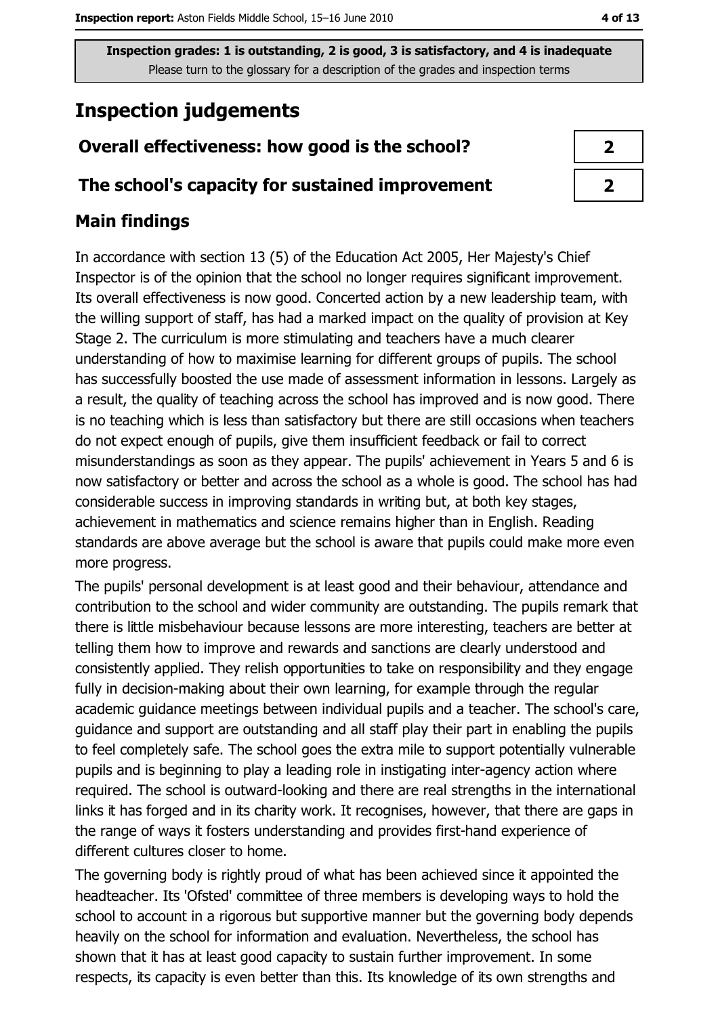# **Inspection judgements**

## Overall effectiveness: how good is the school?

### The school's capacity for sustained improvement

## **Main findings**

In accordance with section 13 (5) of the Education Act 2005, Her Majesty's Chief Inspector is of the opinion that the school no longer requires significant improvement. Its overall effectiveness is now good. Concerted action by a new leadership team, with the willing support of staff, has had a marked impact on the quality of provision at Key Stage 2. The curriculum is more stimulating and teachers have a much clearer understanding of how to maximise learning for different groups of pupils. The school has successfully boosted the use made of assessment information in lessons. Largely as a result, the quality of teaching across the school has improved and is now good. There is no teaching which is less than satisfactory but there are still occasions when teachers do not expect enough of pupils, give them insufficient feedback or fail to correct misunderstandings as soon as they appear. The pupils' achievement in Years 5 and 6 is now satisfactory or better and across the school as a whole is good. The school has had considerable success in improving standards in writing but, at both key stages, achievement in mathematics and science remains higher than in English. Reading standards are above average but the school is aware that pupils could make more even more progress.

The pupils' personal development is at least good and their behaviour, attendance and contribution to the school and wider community are outstanding. The pupils remark that there is little misbehaviour because lessons are more interesting, teachers are better at telling them how to improve and rewards and sanctions are clearly understood and consistently applied. They relish opportunities to take on responsibility and they engage fully in decision-making about their own learning, for example through the regular academic guidance meetings between individual pupils and a teacher. The school's care, guidance and support are outstanding and all staff play their part in enabling the pupils to feel completely safe. The school goes the extra mile to support potentially vulnerable pupils and is beginning to play a leading role in instigating inter-agency action where required. The school is outward-looking and there are real strengths in the international links it has forged and in its charity work. It recognises, however, that there are gaps in the range of ways it fosters understanding and provides first-hand experience of different cultures closer to home.

The governing body is rightly proud of what has been achieved since it appointed the headteacher. Its 'Ofsted' committee of three members is developing ways to hold the school to account in a rigorous but supportive manner but the governing body depends heavily on the school for information and evaluation. Nevertheless, the school has shown that it has at least good capacity to sustain further improvement. In some respects, its capacity is even better than this. Its knowledge of its own strengths and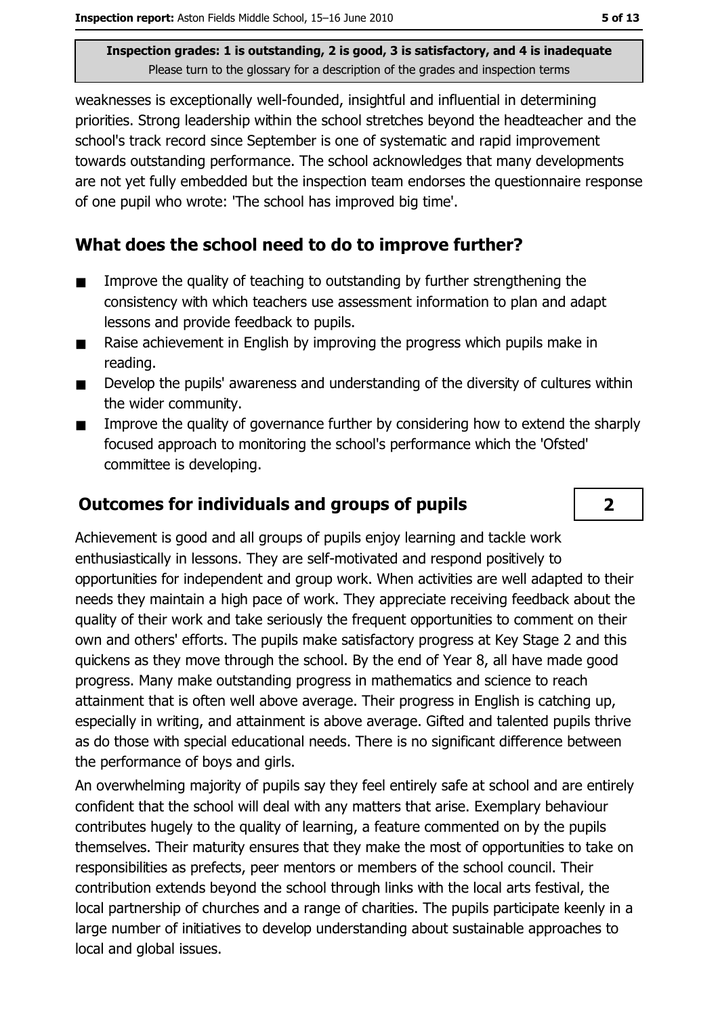weaknesses is exceptionally well-founded, insightful and influential in determining priorities. Strong leadership within the school stretches beyond the headteacher and the school's track record since September is one of systematic and rapid improvement towards outstanding performance. The school acknowledges that many developments are not yet fully embedded but the inspection team endorses the questionnaire response of one pupil who wrote: 'The school has improved big time'.

## What does the school need to do to improve further?

- Improve the quality of teaching to outstanding by further strengthening the  $\blacksquare$ consistency with which teachers use assessment information to plan and adapt lessons and provide feedback to pupils.
- Raise achievement in English by improving the progress which pupils make in  $\blacksquare$ reading.
- Develop the pupils' awareness and understanding of the diversity of cultures within  $\blacksquare$ the wider community.
- Improve the quality of governance further by considering how to extend the sharply  $\blacksquare$ focused approach to monitoring the school's performance which the 'Ofsted' committee is developing.

## **Outcomes for individuals and groups of pupils**

Achievement is good and all groups of pupils enjoy learning and tackle work enthusiastically in lessons. They are self-motivated and respond positively to opportunities for independent and group work. When activities are well adapted to their needs they maintain a high pace of work. They appreciate receiving feedback about the quality of their work and take seriously the frequent opportunities to comment on their own and others' efforts. The pupils make satisfactory progress at Key Stage 2 and this quickens as they move through the school. By the end of Year 8, all have made good progress. Many make outstanding progress in mathematics and science to reach attainment that is often well above average. Their progress in English is catching up, especially in writing, and attainment is above average. Gifted and talented pupils thrive as do those with special educational needs. There is no significant difference between the performance of boys and girls.

An overwhelming majority of pupils say they feel entirely safe at school and are entirely confident that the school will deal with any matters that arise. Exemplary behaviour contributes hugely to the quality of learning, a feature commented on by the pupils themselves. Their maturity ensures that they make the most of opportunities to take on responsibilities as prefects, peer mentors or members of the school council. Their contribution extends beyond the school through links with the local arts festival, the local partnership of churches and a range of charities. The pupils participate keenly in a large number of initiatives to develop understanding about sustainable approaches to local and global issues.

 $\overline{2}$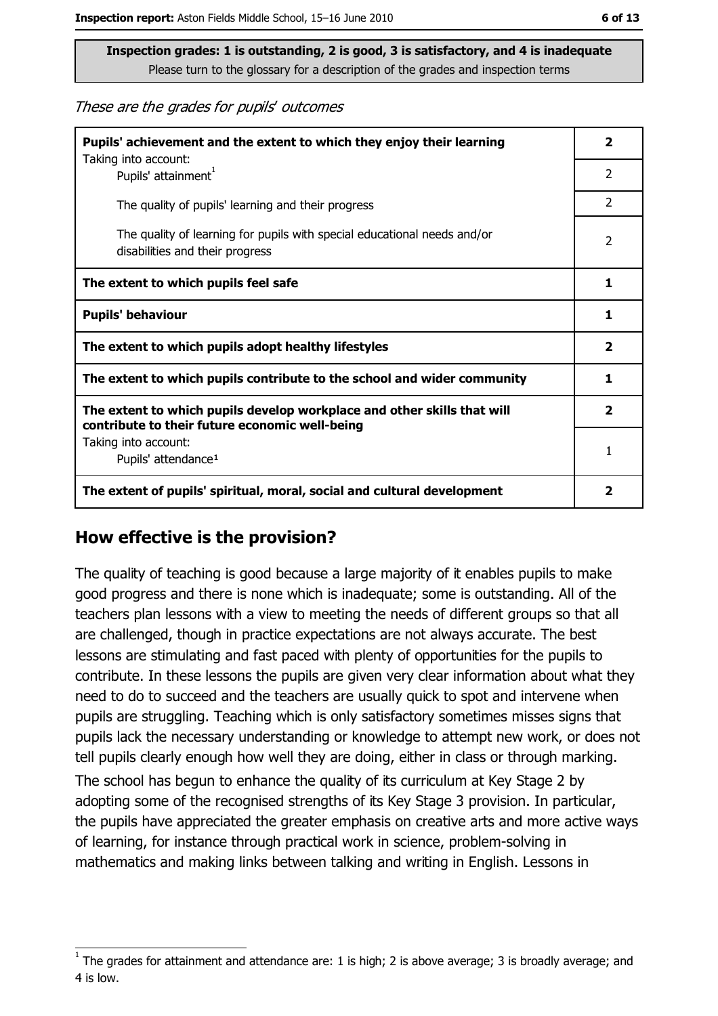These are the grades for pupils' outcomes

| Pupils' achievement and the extent to which they enjoy their learning                                                     |                         |
|---------------------------------------------------------------------------------------------------------------------------|-------------------------|
| Taking into account:<br>Pupils' attainment <sup>1</sup>                                                                   | 2                       |
| The quality of pupils' learning and their progress                                                                        | $\overline{2}$          |
| The quality of learning for pupils with special educational needs and/or<br>disabilities and their progress               | 2                       |
| The extent to which pupils feel safe                                                                                      | 1                       |
| <b>Pupils' behaviour</b>                                                                                                  |                         |
| The extent to which pupils adopt healthy lifestyles                                                                       | $\overline{\mathbf{2}}$ |
| The extent to which pupils contribute to the school and wider community                                                   |                         |
| The extent to which pupils develop workplace and other skills that will<br>contribute to their future economic well-being |                         |
| Taking into account:<br>Pupils' attendance <sup>1</sup>                                                                   | 1                       |
| The extent of pupils' spiritual, moral, social and cultural development                                                   |                         |

#### How effective is the provision?

The quality of teaching is good because a large majority of it enables pupils to make good progress and there is none which is inadequate; some is outstanding. All of the teachers plan lessons with a view to meeting the needs of different groups so that all are challenged, though in practice expectations are not always accurate. The best lessons are stimulating and fast paced with plenty of opportunities for the pupils to contribute. In these lessons the pupils are given very clear information about what they need to do to succeed and the teachers are usually quick to spot and intervene when pupils are struggling. Teaching which is only satisfactory sometimes misses signs that pupils lack the necessary understanding or knowledge to attempt new work, or does not tell pupils clearly enough how well they are doing, either in class or through marking.

The school has begun to enhance the quality of its curriculum at Key Stage 2 by adopting some of the recognised strengths of its Key Stage 3 provision. In particular, the pupils have appreciated the greater emphasis on creative arts and more active ways of learning, for instance through practical work in science, problem-solving in mathematics and making links between talking and writing in English. Lessons in

The grades for attainment and attendance are: 1 is high; 2 is above average; 3 is broadly average; and 4 is low.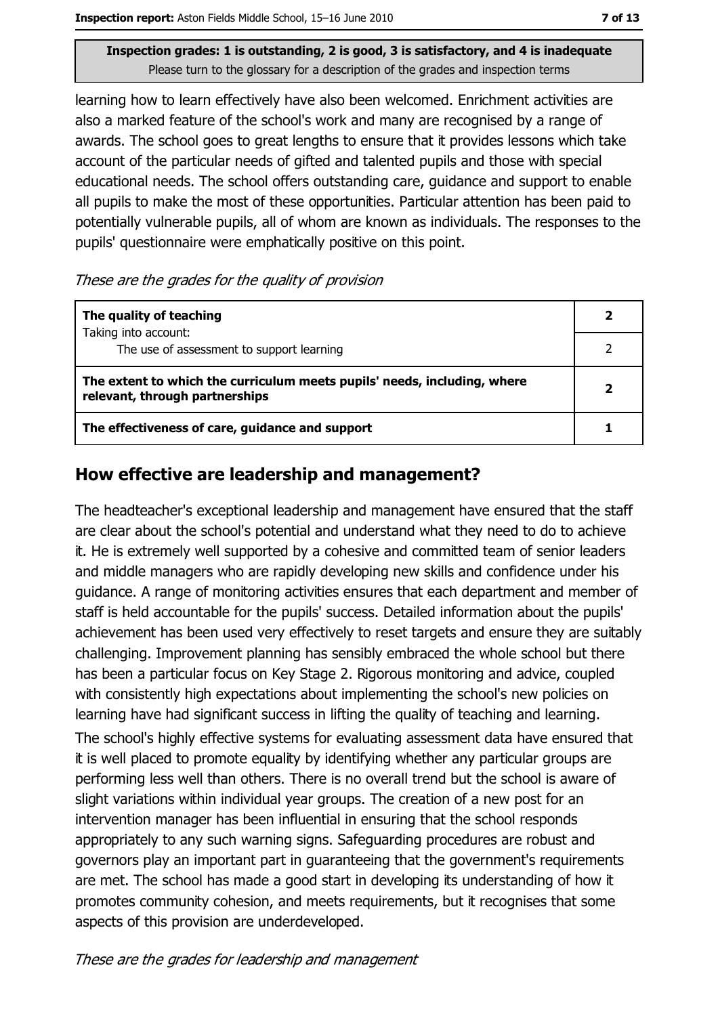learning how to learn effectively have also been welcomed. Enrichment activities are also a marked feature of the school's work and many are recognised by a range of awards. The school goes to great lengths to ensure that it provides lessons which take account of the particular needs of gifted and talented pupils and those with special educational needs. The school offers outstanding care, guidance and support to enable all pupils to make the most of these opportunities. Particular attention has been paid to potentially vulnerable pupils, all of whom are known as individuals. The responses to the pupils' questionnaire were emphatically positive on this point.

These are the grades for the quality of provision

| The quality of teaching                                                                                    |  |
|------------------------------------------------------------------------------------------------------------|--|
| Taking into account:<br>The use of assessment to support learning                                          |  |
| The extent to which the curriculum meets pupils' needs, including, where<br>relevant, through partnerships |  |
| The effectiveness of care, guidance and support                                                            |  |

## How effective are leadership and management?

The headteacher's exceptional leadership and management have ensured that the staff are clear about the school's potential and understand what they need to do to achieve it. He is extremely well supported by a cohesive and committed team of senior leaders and middle managers who are rapidly developing new skills and confidence under his quidance. A range of monitoring activities ensures that each department and member of staff is held accountable for the pupils' success. Detailed information about the pupils' achievement has been used very effectively to reset targets and ensure they are suitably challenging. Improvement planning has sensibly embraced the whole school but there has been a particular focus on Key Stage 2. Rigorous monitoring and advice, coupled with consistently high expectations about implementing the school's new policies on learning have had significant success in lifting the quality of teaching and learning.

The school's highly effective systems for evaluating assessment data have ensured that it is well placed to promote equality by identifying whether any particular groups are performing less well than others. There is no overall trend but the school is aware of slight variations within individual year groups. The creation of a new post for an intervention manager has been influential in ensuring that the school responds appropriately to any such warning signs. Safeguarding procedures are robust and governors play an important part in guaranteeing that the government's requirements are met. The school has made a good start in developing its understanding of how it promotes community cohesion, and meets requirements, but it recognises that some aspects of this provision are underdeveloped.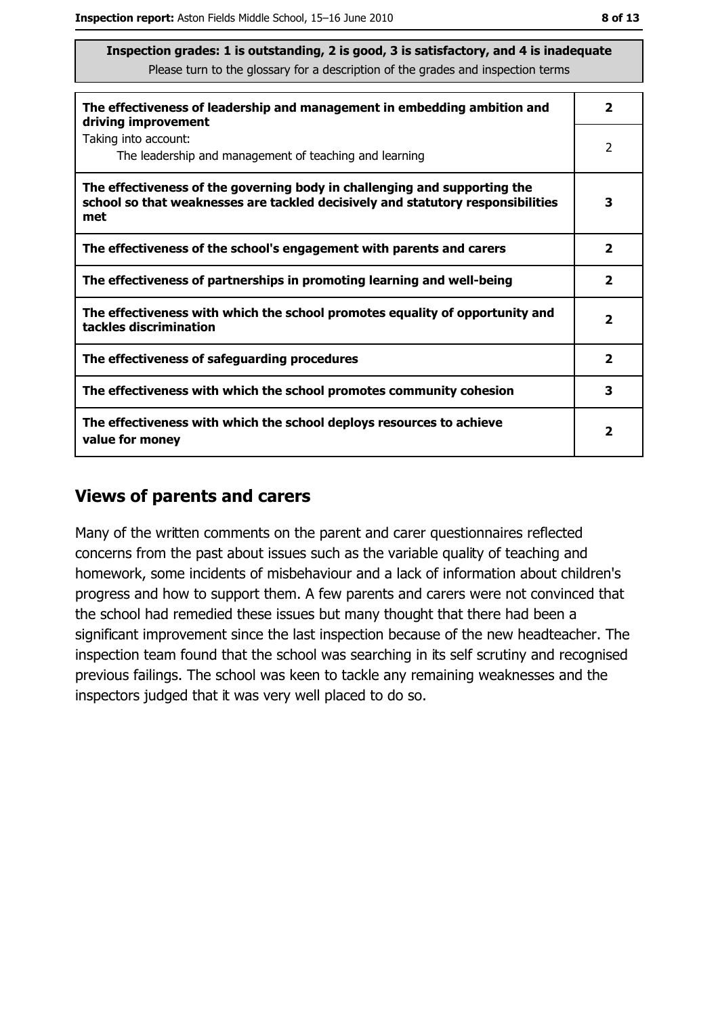| The effectiveness of leadership and management in embedding ambition and<br>driving improvement                                                                     | $\overline{\mathbf{2}}$ |
|---------------------------------------------------------------------------------------------------------------------------------------------------------------------|-------------------------|
| Taking into account:<br>The leadership and management of teaching and learning                                                                                      | 2                       |
| The effectiveness of the governing body in challenging and supporting the<br>school so that weaknesses are tackled decisively and statutory responsibilities<br>met | 3                       |
| The effectiveness of the school's engagement with parents and carers                                                                                                | $\overline{\mathbf{2}}$ |
| The effectiveness of partnerships in promoting learning and well-being                                                                                              | $\mathbf{2}$            |
| The effectiveness with which the school promotes equality of opportunity and<br>tackles discrimination                                                              | $\overline{\mathbf{2}}$ |
| The effectiveness of safeguarding procedures                                                                                                                        | $\overline{\mathbf{2}}$ |
| The effectiveness with which the school promotes community cohesion                                                                                                 | 3                       |
| The effectiveness with which the school deploys resources to achieve<br>value for money                                                                             | 2                       |

#### **Views of parents and carers**

Many of the written comments on the parent and carer questionnaires reflected concerns from the past about issues such as the variable quality of teaching and homework, some incidents of misbehaviour and a lack of information about children's progress and how to support them. A few parents and carers were not convinced that the school had remedied these issues but many thought that there had been a significant improvement since the last inspection because of the new headteacher. The inspection team found that the school was searching in its self scrutiny and recognised previous failings. The school was keen to tackle any remaining weaknesses and the inspectors judged that it was very well placed to do so.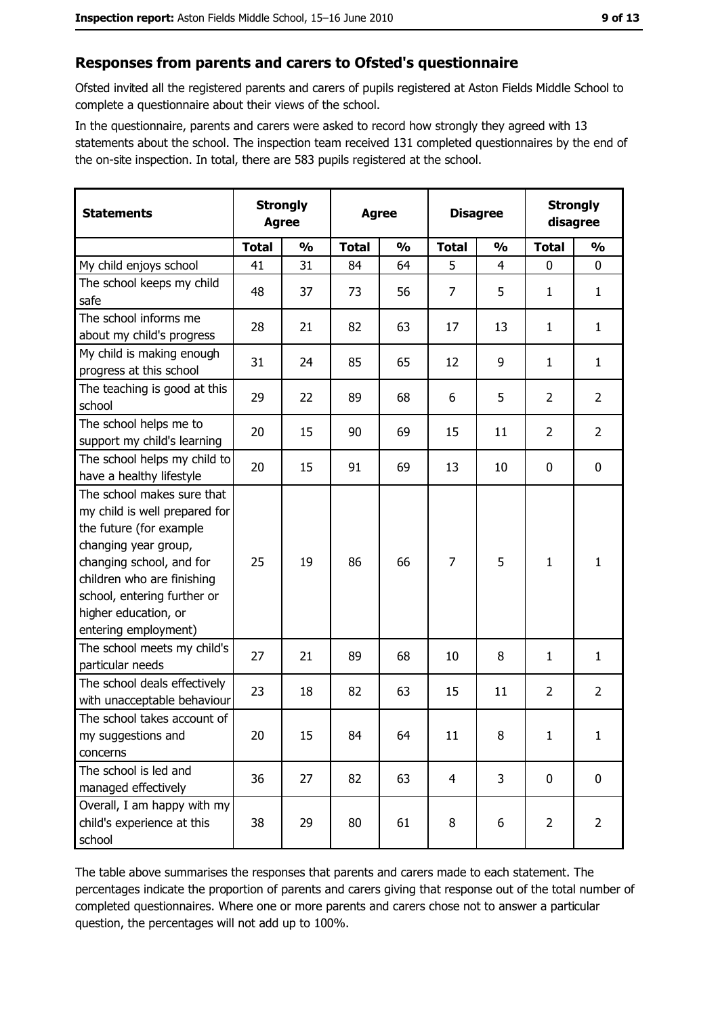#### Responses from parents and carers to Ofsted's questionnaire

Ofsted invited all the registered parents and carers of pupils registered at Aston Fields Middle School to complete a questionnaire about their views of the school.

In the questionnaire, parents and carers were asked to record how strongly they agreed with 13 statements about the school. The inspection team received 131 completed questionnaires by the end of the on-site inspection. In total, there are 583 pupils registered at the school.

| <b>Statements</b>                                                                                                                                                                                                                                       | <b>Strongly</b><br><b>Agree</b> |               | <b>Agree</b> |               |                | <b>Disagree</b> |                | <b>Strongly</b><br>disagree |  |
|---------------------------------------------------------------------------------------------------------------------------------------------------------------------------------------------------------------------------------------------------------|---------------------------------|---------------|--------------|---------------|----------------|-----------------|----------------|-----------------------------|--|
|                                                                                                                                                                                                                                                         | <b>Total</b>                    | $\frac{0}{0}$ | <b>Total</b> | $\frac{0}{0}$ | <b>Total</b>   | $\frac{0}{0}$   | <b>Total</b>   | $\frac{0}{0}$               |  |
| My child enjoys school                                                                                                                                                                                                                                  | 41                              | 31            | 84           | 64            | 5              | $\overline{4}$  | $\mathbf 0$    | $\mathbf 0$                 |  |
| The school keeps my child<br>safe                                                                                                                                                                                                                       | 48                              | 37            | 73           | 56            | $\overline{7}$ | 5               | 1              | $\mathbf{1}$                |  |
| The school informs me<br>about my child's progress                                                                                                                                                                                                      | 28                              | 21            | 82           | 63            | 17             | 13              | 1              | $\mathbf{1}$                |  |
| My child is making enough<br>progress at this school                                                                                                                                                                                                    | 31                              | 24            | 85           | 65            | 12             | 9               | 1              | $\mathbf{1}$                |  |
| The teaching is good at this<br>school                                                                                                                                                                                                                  | 29                              | 22            | 89           | 68            | 6              | 5               | $\overline{2}$ | $\overline{2}$              |  |
| The school helps me to<br>support my child's learning                                                                                                                                                                                                   | 20                              | 15            | 90           | 69            | 15             | 11              | $\overline{2}$ | $\overline{2}$              |  |
| The school helps my child to<br>have a healthy lifestyle                                                                                                                                                                                                | 20                              | 15            | 91           | 69            | 13             | 10              | $\mathbf 0$    | $\mathbf 0$                 |  |
| The school makes sure that<br>my child is well prepared for<br>the future (for example<br>changing year group,<br>changing school, and for<br>children who are finishing<br>school, entering further or<br>higher education, or<br>entering employment) | 25                              | 19            | 86           | 66            | $\overline{7}$ | 5               | $\mathbf{1}$   | $\mathbf{1}$                |  |
| The school meets my child's<br>particular needs                                                                                                                                                                                                         | 27                              | 21            | 89           | 68            | 10             | 8               | 1              | $\mathbf{1}$                |  |
| The school deals effectively<br>with unacceptable behaviour                                                                                                                                                                                             | 23                              | 18            | 82           | 63            | 15             | 11              | $\overline{2}$ | $\overline{2}$              |  |
| The school takes account of<br>my suggestions and<br>concerns                                                                                                                                                                                           | 20                              | 15            | 84           | 64            | 11             | 8               | $\mathbf{1}$   | $\mathbf{1}$                |  |
| The school is led and<br>managed effectively                                                                                                                                                                                                            | 36                              | 27            | 82           | 63            | 4              | 3               | $\bf{0}$       | $\mathbf 0$                 |  |
| Overall, I am happy with my<br>child's experience at this<br>school                                                                                                                                                                                     | 38                              | 29            | 80           | 61            | 8              | 6               | $\overline{2}$ | $\overline{2}$              |  |

The table above summarises the responses that parents and carers made to each statement. The percentages indicate the proportion of parents and carers giving that response out of the total number of completed questionnaires. Where one or more parents and carers chose not to answer a particular question, the percentages will not add up to 100%.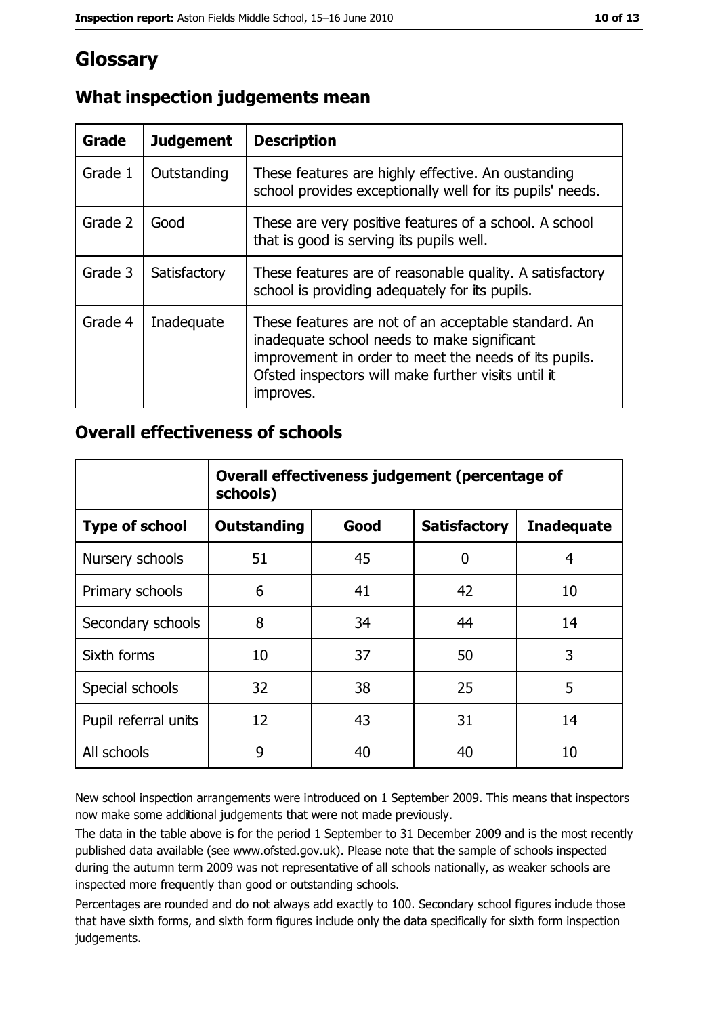# Glossary

| Grade   | <b>Judgement</b> | <b>Description</b>                                                                                                                                                                                                               |
|---------|------------------|----------------------------------------------------------------------------------------------------------------------------------------------------------------------------------------------------------------------------------|
| Grade 1 | Outstanding      | These features are highly effective. An oustanding<br>school provides exceptionally well for its pupils' needs.                                                                                                                  |
| Grade 2 | Good             | These are very positive features of a school. A school<br>that is good is serving its pupils well.                                                                                                                               |
| Grade 3 | Satisfactory     | These features are of reasonable quality. A satisfactory<br>school is providing adequately for its pupils.                                                                                                                       |
| Grade 4 | Inadequate       | These features are not of an acceptable standard. An<br>inadequate school needs to make significant<br>improvement in order to meet the needs of its pupils.<br>Ofsted inspectors will make further visits until it<br>improves. |

# What inspection judgements mean

## **Overall effectiveness of schools**

|                       | Overall effectiveness judgement (percentage of<br>schools) |      |                     |                   |
|-----------------------|------------------------------------------------------------|------|---------------------|-------------------|
| <b>Type of school</b> | <b>Outstanding</b>                                         | Good | <b>Satisfactory</b> | <b>Inadequate</b> |
| Nursery schools       | 51                                                         | 45   | 0                   | 4                 |
| Primary schools       | 6                                                          | 41   | 42                  | 10                |
| Secondary schools     | 8                                                          | 34   | 44                  | 14                |
| Sixth forms           | 10                                                         | 37   | 50                  | 3                 |
| Special schools       | 32                                                         | 38   | 25                  | 5                 |
| Pupil referral units  | 12                                                         | 43   | 31                  | 14                |
| All schools           | 9                                                          | 40   | 40                  | 10                |

New school inspection arrangements were introduced on 1 September 2009. This means that inspectors now make some additional judgements that were not made previously.

The data in the table above is for the period 1 September to 31 December 2009 and is the most recently published data available (see www.ofsted.gov.uk). Please note that the sample of schools inspected during the autumn term 2009 was not representative of all schools nationally, as weaker schools are inspected more frequently than good or outstanding schools.

Percentages are rounded and do not always add exactly to 100. Secondary school figures include those that have sixth forms, and sixth form figures include only the data specifically for sixth form inspection judgements.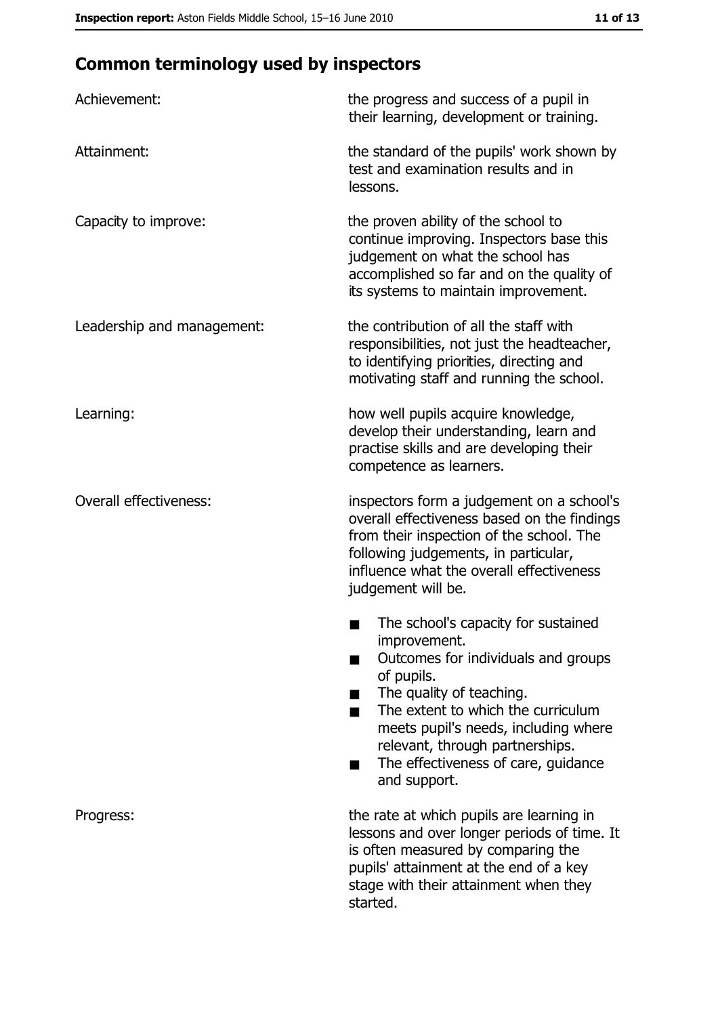# **Common terminology used by inspectors**

| Achievement:                  | the progress and success of a pupil in<br>their learning, development or training.                                                                                                                                                                                                                           |
|-------------------------------|--------------------------------------------------------------------------------------------------------------------------------------------------------------------------------------------------------------------------------------------------------------------------------------------------------------|
| Attainment:                   | the standard of the pupils' work shown by<br>test and examination results and in<br>lessons.                                                                                                                                                                                                                 |
| Capacity to improve:          | the proven ability of the school to<br>continue improving. Inspectors base this<br>judgement on what the school has<br>accomplished so far and on the quality of<br>its systems to maintain improvement.                                                                                                     |
| Leadership and management:    | the contribution of all the staff with<br>responsibilities, not just the headteacher,<br>to identifying priorities, directing and<br>motivating staff and running the school.                                                                                                                                |
| Learning:                     | how well pupils acquire knowledge,<br>develop their understanding, learn and<br>practise skills and are developing their<br>competence as learners.                                                                                                                                                          |
| <b>Overall effectiveness:</b> | inspectors form a judgement on a school's<br>overall effectiveness based on the findings<br>from their inspection of the school. The<br>following judgements, in particular,<br>influence what the overall effectiveness<br>judgement will be.                                                               |
|                               | The school's capacity for sustained<br>improvement.<br>Outcomes for individuals and groups<br>of pupils.<br>The quality of teaching.<br>The extent to which the curriculum<br>meets pupil's needs, including where<br>relevant, through partnerships.<br>The effectiveness of care, guidance<br>and support. |
| Progress:                     | the rate at which pupils are learning in<br>lessons and over longer periods of time. It<br>is often measured by comparing the<br>pupils' attainment at the end of a key<br>stage with their attainment when they<br>started.                                                                                 |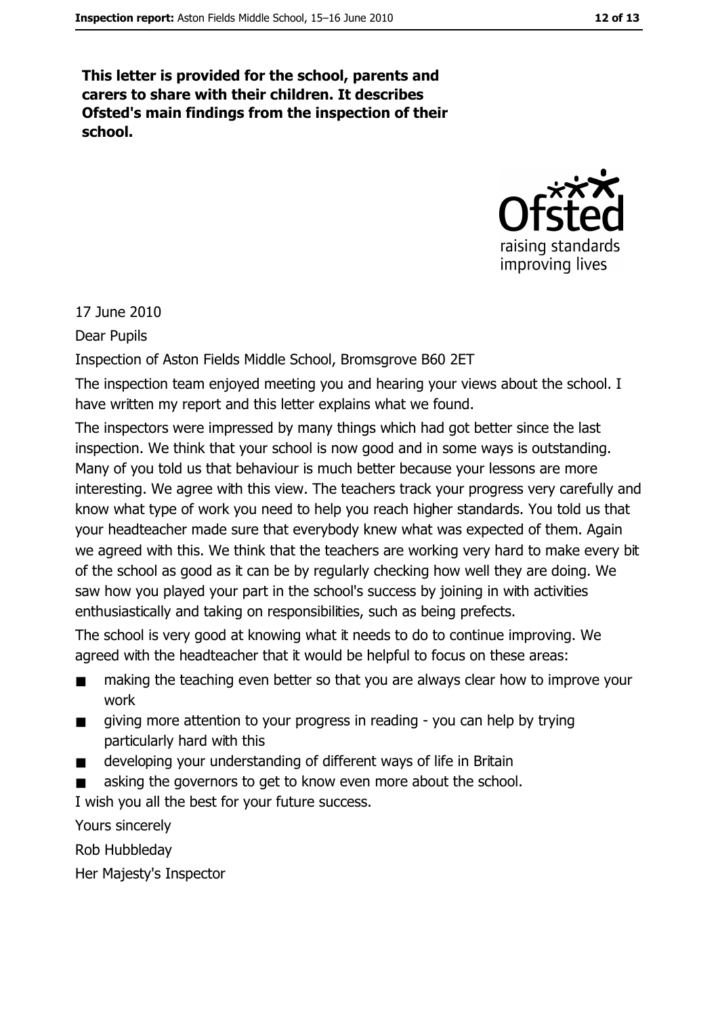This letter is provided for the school, parents and carers to share with their children. It describes Ofsted's main findings from the inspection of their school.



17 June 2010

Dear Pupils

Inspection of Aston Fields Middle School, Bromsgrove B60 2ET

The inspection team enjoyed meeting you and hearing your views about the school. I have written my report and this letter explains what we found.

The inspectors were impressed by many things which had got better since the last inspection. We think that your school is now good and in some ways is outstanding. Many of you told us that behaviour is much better because your lessons are more interesting. We agree with this view. The teachers track your progress very carefully and know what type of work you need to help you reach higher standards. You told us that your headteacher made sure that everybody knew what was expected of them. Again we agreed with this. We think that the teachers are working very hard to make every bit of the school as good as it can be by regularly checking how well they are doing. We saw how you played your part in the school's success by joining in with activities enthusiastically and taking on responsibilities, such as being prefects.

The school is very good at knowing what it needs to do to continue improving. We agreed with the headteacher that it would be helpful to focus on these areas:

- making the teaching even better so that you are always clear how to improve your  $\blacksquare$ work
- giving more attention to your progress in reading you can help by trying  $\blacksquare$ particularly hard with this
- developing your understanding of different ways of life in Britain  $\blacksquare$
- asking the governors to get to know even more about the school.

I wish you all the best for your future success.

Yours sincerely

Rob Hubbleday

Her Majesty's Inspector